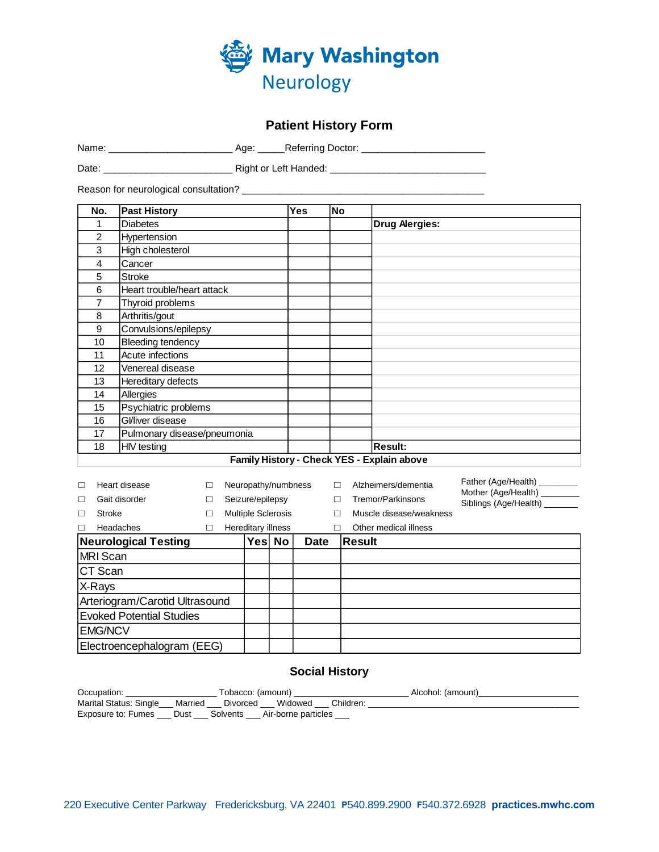

# **Patient History Form**

Name: \_\_\_\_\_\_\_\_\_\_\_\_\_\_\_\_\_\_\_\_\_\_\_ Age: \_\_\_\_\_Referring Doctor: \_\_\_\_\_\_\_\_\_\_\_\_\_\_\_\_\_\_\_\_\_\_\_

Date: \_\_\_\_\_\_\_\_\_\_\_\_\_\_\_\_\_\_\_\_\_\_\_\_ Right or Left Handed: \_\_\_\_\_\_\_\_\_\_\_\_\_\_\_\_\_\_\_\_\_\_\_\_\_\_\_\_\_

Reason for neurological consultation? \_\_\_\_\_\_\_\_\_\_\_\_\_\_\_\_\_\_\_\_\_\_\_\_\_\_\_\_\_\_\_\_\_\_\_\_\_\_\_\_\_\_\_\_\_

| No.            | <b>Past History</b>         | Yes | <b>No</b> |                                            |
|----------------|-----------------------------|-----|-----------|--------------------------------------------|
| 1              | <b>Diabetes</b>             |     |           | <b>Drug Alergies:</b>                      |
| $\overline{2}$ | Hypertension                |     |           |                                            |
| 3              | High cholesterol            |     |           |                                            |
| 4              | Cancer                      |     |           |                                            |
| 5              | <b>Stroke</b>               |     |           |                                            |
| 6              | Heart trouble/heart attack  |     |           |                                            |
| 7              | Thyroid problems            |     |           |                                            |
| 8              | Arthritis/gout              |     |           |                                            |
| 9              | Convulsions/epilepsy        |     |           |                                            |
| 10             | <b>Bleeding tendency</b>    |     |           |                                            |
| 11             | Acute infections            |     |           |                                            |
| 12             | Venereal disease            |     |           |                                            |
| 13             | Hereditary defects          |     |           |                                            |
| 14             | Allergies                   |     |           |                                            |
| 15             | Psychiatric problems        |     |           |                                            |
| 16             | Gl/liver disease            |     |           |                                            |
| 17             | Pulmonary disease/pneumonia |     |           |                                            |
| 18             | <b>HIV</b> testing          |     |           | <b>Result:</b>                             |
|                |                             |     |           | Family History - Check YES - Explain above |

| П<br>П<br>П                                          | Heart disease<br>Gait disorder<br>Stroke | П | Neuropathy/numbness<br>Seizure/epilepsy<br><b>Multiple Sclerosis</b> |                    |  |  | П<br>П        | Alzheimers/dementia<br>Tremor/Parkinsons<br>Muscle disease/weakness | Father (Age/Health)<br>Mother (Age/Health)<br>Siblings (Age/Health) |
|------------------------------------------------------|------------------------------------------|---|----------------------------------------------------------------------|--------------------|--|--|---------------|---------------------------------------------------------------------|---------------------------------------------------------------------|
| $\Box$                                               | Headaches                                |   |                                                                      | Hereditary illness |  |  |               | Other medical illness                                               |                                                                     |
| <b>Neurological Testing</b><br>Yes No<br><b>Date</b> |                                          |   |                                                                      |                    |  |  | <b>Result</b> |                                                                     |                                                                     |
| MRI Scan                                             |                                          |   |                                                                      |                    |  |  |               |                                                                     |                                                                     |
| CT Scan                                              |                                          |   |                                                                      |                    |  |  |               |                                                                     |                                                                     |
| X-Rays                                               |                                          |   |                                                                      |                    |  |  |               |                                                                     |                                                                     |
| Arteriogram/Carotid Ultrasound                       |                                          |   |                                                                      |                    |  |  |               |                                                                     |                                                                     |
| <b>Evoked Potential Studies</b>                      |                                          |   |                                                                      |                    |  |  |               |                                                                     |                                                                     |
| <b>EMG/NCV</b>                                       |                                          |   |                                                                      |                    |  |  |               |                                                                     |                                                                     |
|                                                      | Electroencephalogram (EEG)               |   |                                                                      |                    |  |  |               |                                                                     |                                                                     |

# **Social History**

| Occupation:                                                           | Tobacco: (amount)                                                        | Alcohol: (amount) |
|-----------------------------------------------------------------------|--------------------------------------------------------------------------|-------------------|
|                                                                       | Marital Status: Single __ Married ___ Divorced ___ Widowed ___ Children: |                   |
| Exposure to: Fumes ____ Dust ____ Solvents ____ Air-borne particles _ |                                                                          |                   |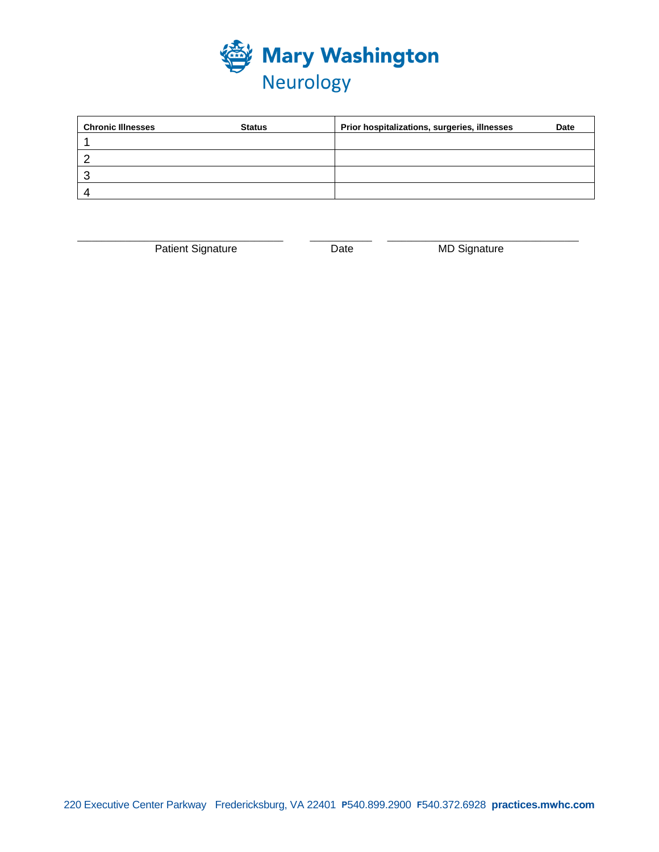

| <b>Chronic Illnesses</b> | <b>Status</b> | Prior hospitalizations, surgeries, illnesses | Date |
|--------------------------|---------------|----------------------------------------------|------|
|                          |               |                                              |      |
|                          |               |                                              |      |
|                          |               |                                              |      |
|                          |               |                                              |      |

\_\_\_\_\_\_\_\_\_\_\_\_\_\_\_\_\_\_\_\_\_\_\_\_\_\_\_\_\_\_\_\_\_\_\_\_\_\_\_\_\_\_\_ \_\_\_\_\_\_\_\_\_\_\_\_\_ \_\_\_\_\_\_\_\_\_\_\_\_\_\_\_\_\_\_\_\_\_\_\_\_\_\_\_\_\_\_\_\_\_\_\_\_\_\_\_\_ Patient Signature **Date** Date MD Signature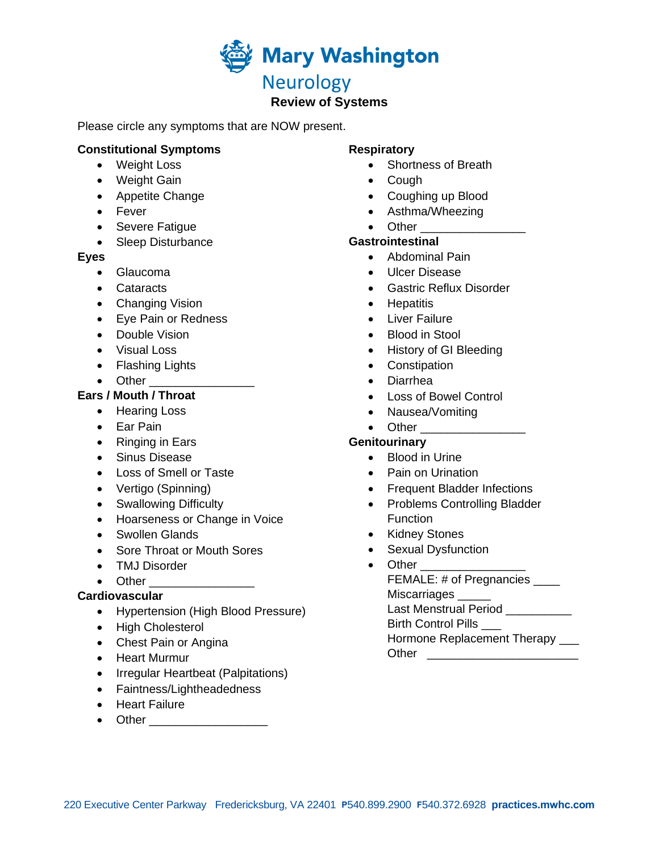

# **Review of Systems**

Please circle any symptoms that are NOW present.

#### **Constitutional Symptoms**

- Weight Loss
- Weight Gain
- Appetite Change
- Fever
- Severe Fatigue
- Sleep Disturbance

#### **Eyes**

- Glaucoma
- Cataracts
- Changing Vision
- Eye Pain or Redness
- Double Vision
- Visual Loss
- Flashing Lights
- Other \_\_\_\_\_\_\_\_\_\_\_\_\_\_\_\_

# **Ears / Mouth / Throat**

- Hearing Loss
- Ear Pain
- Ringing in Ears
- Sinus Disease
- Loss of Smell or Taste
- Vertigo (Spinning)
- Swallowing Difficulty
- Hoarseness or Change in Voice
- Swollen Glands
- Sore Throat or Mouth Sores
- TMJ Disorder
- Other \_\_\_\_\_\_\_\_\_\_\_\_\_\_

# **Cardiovascular**

- Hypertension (High Blood Pressure)
- High Cholesterol
- Chest Pain or Angina
- Heart Murmur
- Irregular Heartbeat (Palpitations)
- Faintness/Lightheadedness
- Heart Failure
- Other \_\_\_\_\_\_\_\_\_\_\_\_\_\_\_\_\_\_

#### **Respiratory**

- Shortness of Breath
- Cough
- Coughing up Blood
- Asthma/Wheezing
- Other

#### **Gastrointestinal**

- Abdominal Pain
- Ulcer Disease
- Gastric Reflux Disorder
- Hepatitis
- Liver Failure
- Blood in Stool
- History of GI Bleeding
- Constipation
- Diarrhea
- Loss of Bowel Control
- Nausea/Vomiting
- Other **Lating Structure**

#### **Genitourinary**

- Blood in Urine
- Pain on Urination
- Frequent Bladder Infections
- Problems Controlling Bladder **Function**
- Kidney Stones
- Sexual Dysfunction
- Other FEMALE: # of Pregnancies \_\_\_ Miscarriages \_\_\_\_\_ Last Menstrual Period Birth Control Pills \_\_\_ Hormone Replacement Therapy Other \_\_\_\_\_\_\_\_\_\_\_\_\_\_\_\_\_\_\_\_\_\_\_